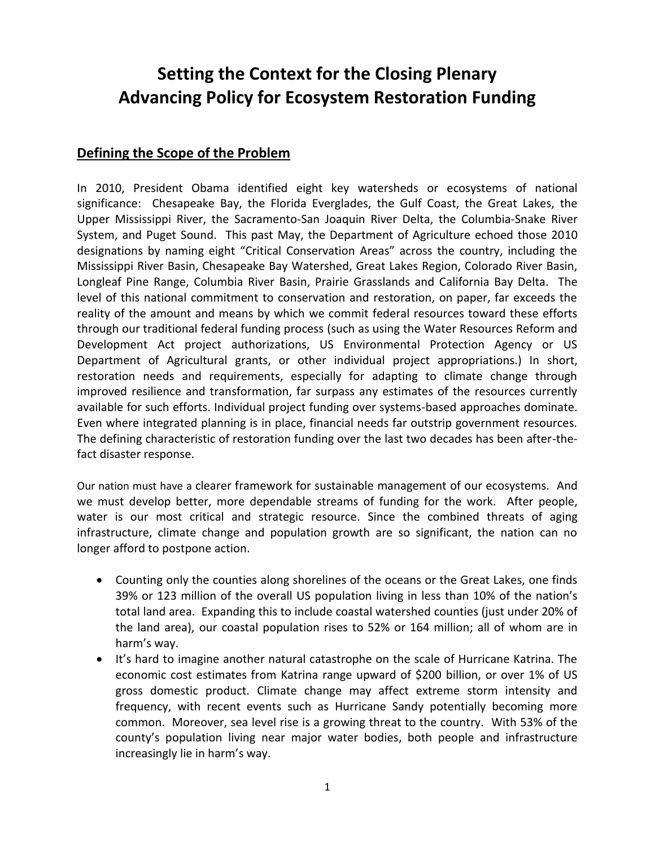# **Setting the Context for the Closing Plenary Advancing Policy for Ecosystem Restoration Funding**

#### **Defining the Scope of the Problem**

In 2010, President Obama identified eight key watersheds or ecosystems of national significance: Chesapeake Bay, the Florida Everglades, the Gulf Coast, the Great Lakes, the Upper Mississippi River, the Sacramento-San Joaquin River Delta, the Columbia-Snake River System, and Puget Sound. This past May, the Department of Agriculture echoed those 2010 designations by naming eight "Critical Conservation Areas" across the country, including the Mississippi River Basin, Chesapeake Bay Watershed, Great Lakes Region, Colorado River Basin, Longleaf Pine Range, Columbia River Basin, Prairie Grasslands and California Bay Delta. The level of this national commitment to conservation and restoration, on paper, far exceeds the reality of the amount and means by which we commit federal resources toward these efforts through our traditional federal funding process (such as using the Water Resources Reform and Development Act project authorizations, US Environmental Protection Agency or US Department of Agricultural grants, or other individual project appropriations.) In short, restoration needs and requirements, especially for adapting to climate change through improved resilience and transformation, far surpass any estimates of the resources currently available for such efforts. Individual project funding over systems-based approaches dominate. Even where integrated planning is in place, financial needs far outstrip government resources. The defining characteristic of restoration funding over the last two decades has been after-thefact disaster response.

Our nation must have a clearer framework for sustainable management of our ecosystems. And we must develop better, more dependable streams of funding for the work. After people, water is our most critical and strategic resource. Since the combined threats of aging infrastructure, climate change and population growth are so significant, the nation can no longer afford to postpone action.

- Counting only the counties along shorelines of the oceans or the Great Lakes, one finds 39% or 123 million of the overall US population living in less than 10% of the nation's total land area. Expanding this to include coastal watershed counties (just under 20% of the land area), our coastal population rises to 52% or 164 million; all of whom are in harm's way.
- It's hard to imagine another natural catastrophe on the scale of Hurricane Katrina. The economic cost estimates from Katrina range upward of \$200 billion, or over 1% of US gross domestic product. Climate change may affect extreme storm intensity and frequency, with recent events such as Hurricane Sandy potentially becoming more common. Moreover, sea level rise is a growing threat to the country. With 53% of the county's population living near major water bodies, both people and infrastructure increasingly lie in harm's way.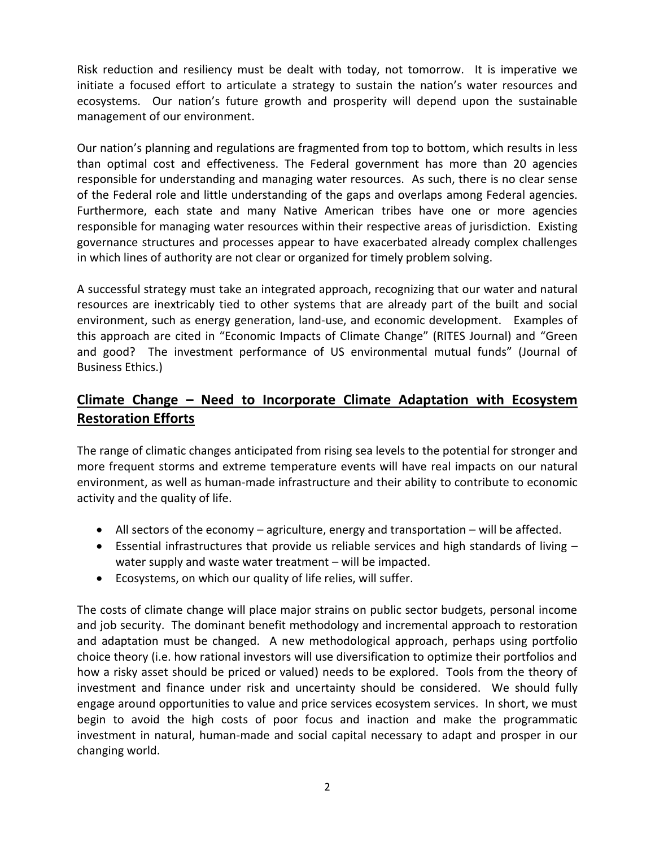Risk reduction and resiliency must be dealt with today, not tomorrow. It is imperative we initiate a focused effort to articulate a strategy to sustain the nation's water resources and ecosystems. Our nation's future growth and prosperity will depend upon the sustainable management of our environment.

Our nation's planning and regulations are fragmented from top to bottom, which results in less than optimal cost and effectiveness. The Federal government has more than 20 agencies responsible for understanding and managing water resources. As such, there is no clear sense of the Federal role and little understanding of the gaps and overlaps among Federal agencies. Furthermore, each state and many Native American tribes have one or more agencies responsible for managing water resources within their respective areas of jurisdiction. Existing governance structures and processes appear to have exacerbated already complex challenges in which lines of authority are not clear or organized for timely problem solving.

A successful strategy must take an integrated approach, recognizing that our water and natural resources are inextricably tied to other systems that are already part of the built and social environment, such as energy generation, land-use, and economic development. Examples of this approach are cited in "Economic Impacts of Climate Change" (RITES Journal) and "Green and good? The investment performance of US environmental mutual funds" (Journal of Business Ethics.)

## **Climate Change – Need to Incorporate Climate Adaptation with Ecosystem Restoration Efforts**

The range of climatic changes anticipated from rising sea levels to the potential for stronger and more frequent storms and extreme temperature events will have real impacts on our natural environment, as well as human-made infrastructure and their ability to contribute to economic activity and the quality of life.

- All sectors of the economy agriculture, energy and transportation will be affected.
- Essential infrastructures that provide us reliable services and high standards of living water supply and waste water treatment – will be impacted.
- Ecosystems, on which our quality of life relies, will suffer.

The costs of climate change will place major strains on public sector budgets, personal income and job security. The dominant benefit methodology and incremental approach to restoration and adaptation must be changed. A new methodological approach, perhaps using portfolio choice theory (i.e. how rational investors will use diversification to optimize their portfolios and how a risky asset should be priced or valued) needs to be explored. Tools from the theory of investment and finance under risk and uncertainty should be considered. We should fully engage around opportunities to value and price services ecosystem services. In short, we must begin to avoid the high costs of poor focus and inaction and make the programmatic investment in natural, human-made and social capital necessary to adapt and prosper in our changing world.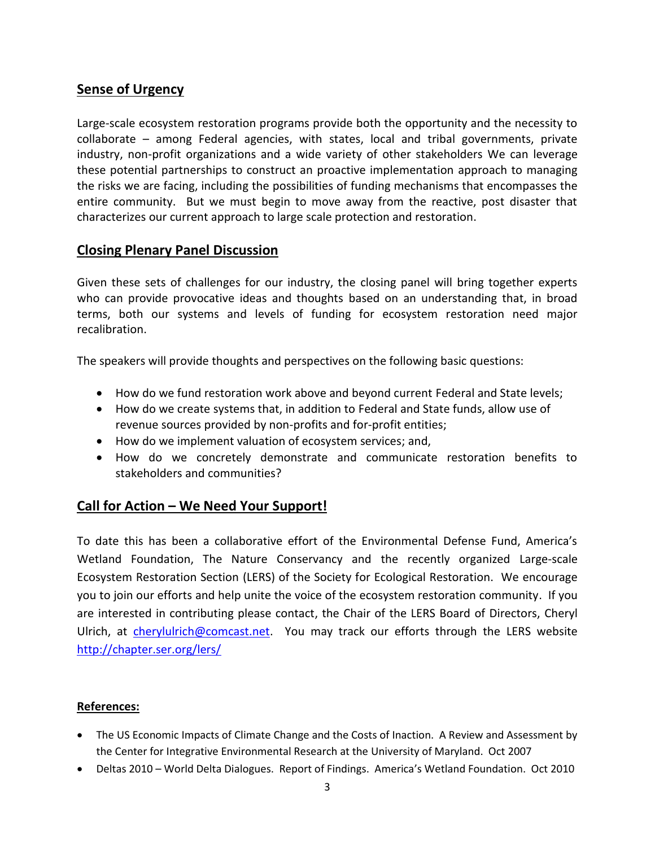### **Sense of Urgency**

Large-scale ecosystem restoration programs provide both the opportunity and the necessity to collaborate – among Federal agencies, with states, local and tribal governments, private industry, non-profit organizations and a wide variety of other stakeholders We can leverage these potential partnerships to construct an proactive implementation approach to managing the risks we are facing, including the possibilities of funding mechanisms that encompasses the entire community. But we must begin to move away from the reactive, post disaster that characterizes our current approach to large scale protection and restoration.

#### **Closing Plenary Panel Discussion**

Given these sets of challenges for our industry, the closing panel will bring together experts who can provide provocative ideas and thoughts based on an understanding that, in broad terms, both our systems and levels of funding for ecosystem restoration need major recalibration.

The speakers will provide thoughts and perspectives on the following basic questions:

- How do we fund restoration work above and beyond current Federal and State levels;
- How do we create systems that, in addition to Federal and State funds, allow use of revenue sources provided by non-profits and for-profit entities;
- How do we implement valuation of ecosystem services; and,
- How do we concretely demonstrate and communicate restoration benefits to stakeholders and communities?

#### **Call for Action – We Need Your Support!**

To date this has been a collaborative effort of the Environmental Defense Fund, America's Wetland Foundation, The Nature Conservancy and the recently organized Large-scale Ecosystem Restoration Section (LERS) of the Society for Ecological Restoration. We encourage you to join our efforts and help unite the voice of the ecosystem restoration community. If you are interested in contributing please contact, the Chair of the LERS Board of Directors, Cheryl Ulrich, at [cherylulrich@comcast.net.](mailto:cherylulrich@comcast.net) You may track our efforts through the LERS website <http://chapter.ser.org/lers/>

#### **References:**

- The US Economic Impacts of Climate Change and the Costs of Inaction. A Review and Assessment by the Center for Integrative Environmental Research at the University of Maryland. Oct 2007
- Deltas 2010 World Delta Dialogues. Report of Findings. America's Wetland Foundation. Oct 2010